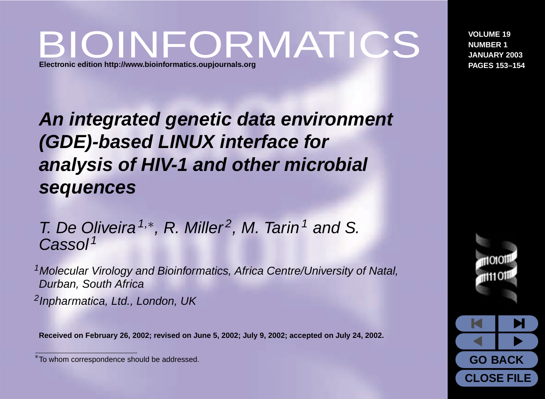# BIOINFORMATICS **Electronic edition <http://www.bioinformatics.oupjournals.org>**

**An integrated genetic data environment (GDE)-based LINUX interface for analysis of HIV-1 and other microbial sequences**

T. De Oliveira<sup>1,\*</sup>, R. Miller<sup>2</sup>, M. Tarin<sup>1</sup> and S. Cassol<sup>1</sup>

<sup>1</sup>Molecular Virology and Bioinformatics, Africa Centre/University of Natal, Durban, South Africa <sup>2</sup> Inpharmatica, Ltd., London, UK

**Received on February 26, 2002; revised on June 5, 2002; July 9, 2002; accepted on July 24, 2002.**

**VOLUME 19 NUMBER 1 JANUARY 2003 PAGES 153–154**



<sup>∗</sup>To whom correspondence should be addressed.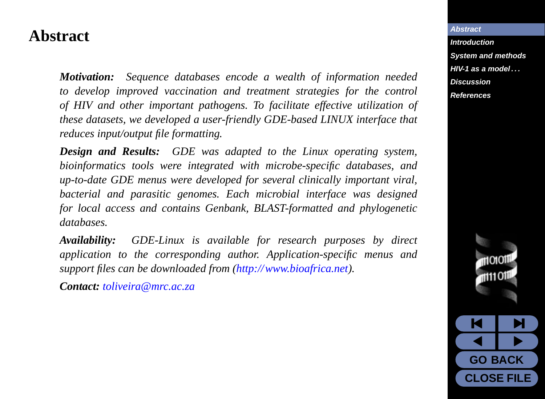#### <span id="page-1-0"></span>**Abstract**

*Motivation: Sequence databases encode a wealth of information needed to develop improved vaccination and treatment strategies for the control of HIV and other important pathogens. To facilitate effective utilization of these datasets, we developed a user-friendly GDE-based LINUX interface that reduces input/output file formatting.*

*Design and Results: GDE was adapted to the Linux operating system, bioinformatics tools were integrated with microbe-specific databases, and up-to-date GDE menus were developed for several clinically important viral, bacterial and parasitic genomes. Each microbial interface was designed for local access and contains Genbank, BLAST-formatted and phylogenetic databases.*

*Availability: GDE-Linux is available for research purposes by direct application to the corresponding author. Application-specific menus and support files can be downloaded from [\(http://www.bioafrica.net\)](http://www.bioafrica.net).*

*Contact: [toliveira@mrc.ac.za](mailto:toliveira@mrc.ac.za)*

#### **Abstract**

**[Introduction](#page-2-0) [System and methods](#page-4-0) [HIV-1 as a model . . .](#page-5-0) [Discussion](#page-6-0) [References](#page-7-0)**

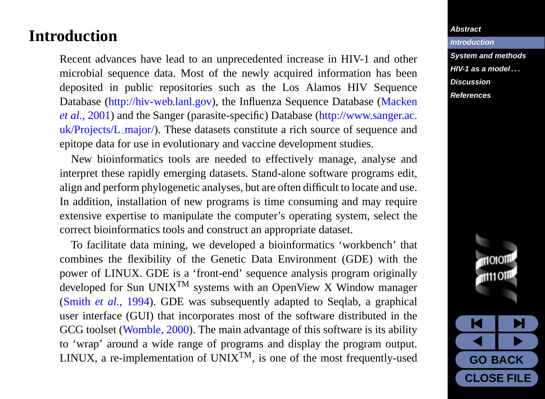#### <span id="page-2-0"></span>**Introduction**

Recent advances have lead to an unprecedented increase in HIV-1 and other microbial sequence data. Most of the newly acquired information has been deposited in public repositories such as the Los Alamos HIV Sequence Database [\(http://hiv-web.lanl.gov\)](http://hiv-web.lanl.gov), the Influenza Sequence Database [\(Macken](#page-7-0) *[et al.](#page-7-0)*, [2001\)](#page-7-0) and the Sanger (parasite-specific) Database [\(http://www.sanger.ac.](http://www.sanger.ac.uk/Projects/L_major/) [uk/Projects/L](http://www.sanger.ac.uk/Projects/L_major/)\_major/). These datasets constitute a rich source of sequence and epitope data for use in evolutionary and vaccine development studies.

New bioinformatics tools are needed to effectively manage, analyse and interpret these rapidly emerging datasets. Stand-alone software programs edit, align and perform phylogenetic analyses, but are often difficult to locate and use. In addition, installation of new programs is time consuming and may require extensive expertise to manipulate the computer's operating system, select the correct bioinformatics tools and construct an appropriate dataset.

To facilitate data mining, we developed a bioinformatics 'workbench' that combines the flexibility of the Genetic Data Environment (GDE) with the power of LINUX. GDE is a 'front-end' sequence analysis program originally developed for Sun UNIX<sup>TM</sup> systems with an OpenView X Window manager [\(Smith](#page-8-0) *et al.*, [1994\)](#page-8-0). GDE was subsequently adapted to Seqlab, a graphical user interface (GUI) that incorporates most of the software distributed in the GCG toolset [\(Womble,](#page-8-0) [2000\)](#page-8-0). The main advantage of this software is its ability to 'wrap' around a wide range of programs and display the program output. LINUX, a re-implementation of UNIX<sup>TM</sup>, is one of the most frequently-used

#### **[Abstract](#page-1-0)**

**Introduction [System and methods](#page-4-0) [HIV-1 as a model . . .](#page-5-0) [Discussion](#page-6-0) [References](#page-7-0)**

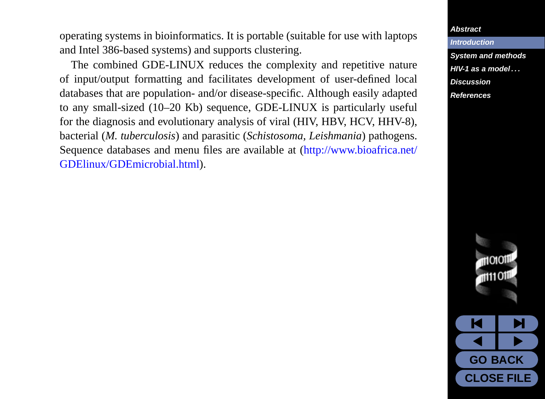operating systems in bioinformatics. It is portable (suitable for use with laptops and Intel 386-based systems) and supports clustering.

The combined GDE-LINUX reduces the complexity and repetitive nature of input/output formatting and facilitates development of user-defined local databases that are population- and/or disease-specific. Although easily adapted to any small-sized (10–20 Kb) sequence, GDE-LINUX is particularly useful for the diagnosis and evolutionary analysis of viral (HIV, HBV, HCV, HHV-8), bacterial (*M. tuberculosis*) and parasitic (*Schistosoma, Leishmania*) pathogens. Sequence databases and menu files are available at [\(http://www.bioafrica.net/](http://www.bioafrica.net/GDE linux/GDE microbial. html) [GDElinux/GDEmicrobial.html\)](http://www.bioafrica.net/GDE linux/GDE microbial. html).

#### **[Abstract](#page-1-0)**

**[Introduction](#page-2-0) [System and methods](#page-4-0) [HIV-1 as a model . . .](#page-5-0) [Discussion](#page-6-0) [References](#page-7-0)**

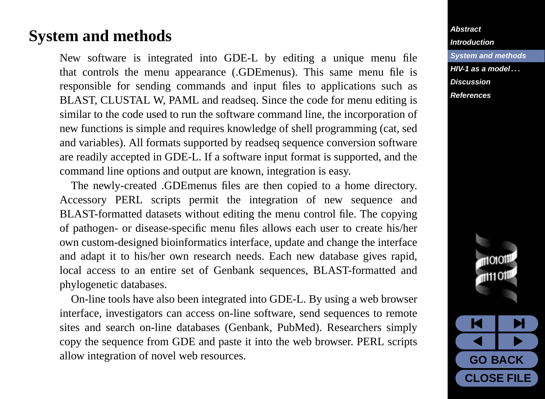### <span id="page-4-0"></span>**System and methods**

New software is integrated into GDE-L by editing a unique menu file that controls the menu appearance (.GDEmenus). This same menu file is responsible for sending commands and input files to applications such as BLAST, CLUSTAL W, PAML and readseq. Since the code for menu editing is similar to the code used to run the software command line, the incorporation of new functions is simple and requires knowledge of shell programming (cat, sed and variables). All formats supported by readseq sequence conversion software are readily accepted in GDE-L. If a software input format is supported, and the command line options and output are known, integration is easy.

The newly-created .GDEmenus files are then copied to a home directory. Accessory PERL scripts permit the integration of new sequence and BLAST-formatted datasets without editing the menu control file. The copying of pathogen- or disease-specific menu files allows each user to create his/her own custom-designed bioinformatics interface, update and change the interface and adapt it to his/her own research needs. Each new database gives rapid, local access to an entire set of Genbank sequences, BLAST-formatted and phylogenetic databases.

On-line tools have also been integrated into GDE-L. By using a web browser interface, investigators can access on-line software, send sequences to remote sites and search on-line databases (Genbank, PubMed). Researchers simply copy the sequence from GDE and paste it into the web browser. PERL scripts allow integration of novel web resources.

#### **[Abstract](#page-1-0) [Introduction](#page-2-0) System and methods [HIV-1 as a model . . .](#page-5-0) [Discussion](#page-6-0) [References](#page-7-0)**

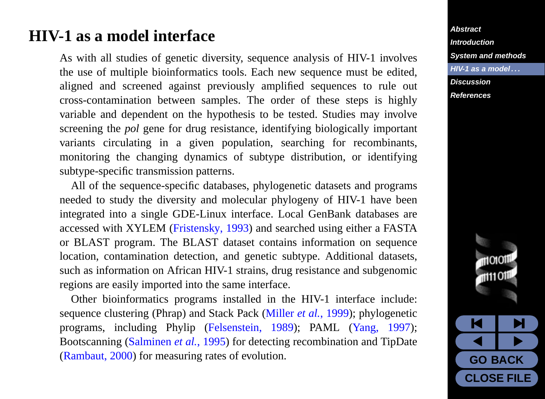### <span id="page-5-0"></span>**HIV-1 as a model interface**

As with all studies of genetic diversity, sequence analysis of HIV-1 involves the use of multiple bioinformatics tools. Each new sequence must be edited, aligned and screened against previously amplified sequences to rule out cross-contamination between samples. The order of these steps is highly variable and dependent on the hypothesis to be tested. Studies may involve screening the *pol* gene for drug resistance, identifying biologically important variants circulating in a given population, searching for recombinants, monitoring the changing dynamics of subtype distribution, or identifying subtype-specific transmission patterns.

All of the sequence-specific databases, phylogenetic datasets and programs needed to study the diversity and molecular phylogeny of HIV-1 have been integrated into a single GDE-Linux interface. Local GenBank databases are accessed with XYLEM [\(Fristensky,](#page-7-0) [1993\)](#page-7-0) and searched using either a FASTA or BLAST program. The BLAST dataset contains information on sequence location, contamination detection, and genetic subtype. Additional datasets, such as information on African HIV-1 strains, drug resistance and subgenomic regions are easily imported into the same interface.

Other bioinformatics programs installed in the HIV-1 interface include: sequence clustering (Phrap) and Stack Pack [\(Miller](#page-7-0) *et al.*, [1999\)](#page-7-0); phylogenetic programs, including Phylip [\(Felsenstein,](#page-7-0) [1989\)](#page-7-0); PAML [\(Yang,](#page-8-0) [1997\)](#page-8-0); Bootscanning [\(Salminen](#page-7-0) *et al.*, [1995\)](#page-7-0) for detecting recombination and TipDate [\(Rambaut,](#page-7-0) [2000\)](#page-7-0) for measuring rates of evolution.

**[Abstract](#page-1-0) [Introduction](#page-2-0) [System and methods](#page-4-0) HIV-1 as a model . . . [Discussion](#page-6-0) [References](#page-7-0)**

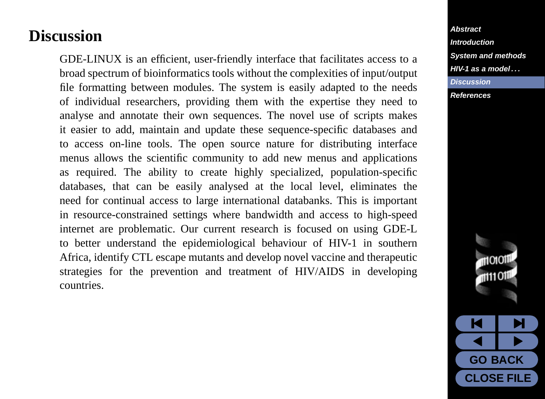## <span id="page-6-0"></span>**Discussion**

GDE-LINUX is an efficient, user-friendly interface that facilitates access to a broad spectrum of bioinformatics tools without the complexities of input/output file formatting between modules. The system is easily adapted to the needs of individual researchers, providing them with the expertise they need to analyse and annotate their own sequences. The novel use of scripts makes it easier to add, maintain and update these sequence-specific databases and to access on-line tools. The open source nature for distributing interface menus allows the scientific community to add new menus and applications as required. The ability to create highly specialized, population-specific databases, that can be easily analysed at the local level, eliminates the need for continual access to large international databanks. This is important in resource-constrained settings where bandwidth and access to high-speed internet are problematic. Our current research is focused on using GDE-L to better understand the epidemiological behaviour of HIV-1 in southern Africa, identify CTL escape mutants and develop novel vaccine and therapeutic strategies for the prevention and treatment of HIV/AIDS in developing countries.

**[Abstract](#page-1-0) [Introduction](#page-2-0) [System and methods](#page-4-0) [HIV-1 as a model . . .](#page-5-0) Discussion [References](#page-7-0)**

> 110101 1111011 M I M  $\overline{\bullet}$

**GO BACK CLOSE FILE**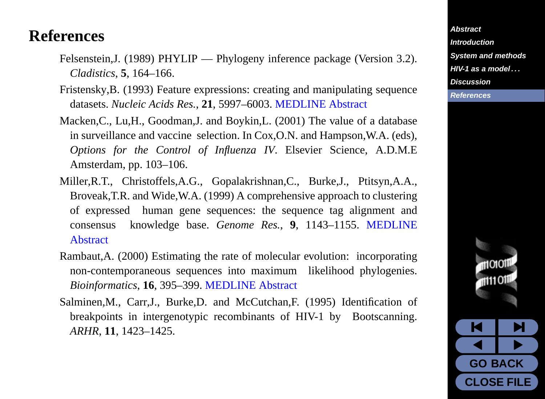### <span id="page-7-0"></span>**References**

- Felsenstein,J. (1989) PHYLIP Phylogeny inference package (Version 3.2). *Cladistics*, **5**, 164–166.
- Fristensky,B. (1993) Feature expressions: creating and manipulating sequence datasets. *Nucleic Acids Res.*, **21**, 5997–6003. [MEDLINE Abstract](http://www.ncbi.nlm.nih.gov/htbin-post/Entrez/query?uid=8290362&form=6&db=m&Dopt=r)
- Macken,C., Lu,H., Goodman,J. and Boykin,L. (2001) The value of a database in surveillance and vaccine selection. In Cox,O.N. and Hampson,W.A. (eds), *Options for the Control of Influenza IV*. Elsevier Science, A.D.M.E Amsterdam, pp. 103–106.
- Miller,R.T., Christoffels,A.G., Gopalakrishnan,C., Burke,J., Ptitsyn,A.A., Broveak,T.R. and Wide,W.A. (1999) A comprehensive approach to clustering of expressed human gene sequences: the sequence tag alignment and consensus knowledge base. *Genome Res.*, **9**, 1143–1155. [MEDLINE](http://www.ncbi.nlm.nih.gov/htbin-post/Entrez/query?uid=10568754&form=6&db=m&Dopt=r) **[Abstract](http://www.ncbi.nlm.nih.gov/htbin-post/Entrez/query?uid=10568754&form=6&db=m&Dopt=r)**
- Rambaut,A. (2000) Estimating the rate of molecular evolution: incorporating non-contemporaneous sequences into maximum likelihood phylogenies. *Bioinformatics*, **16**, 395–399. [MEDLINE Abstract](http://www.ncbi.nlm.nih.gov/htbin-post/Entrez/query?uid=10869038&form=6&db=m&Dopt=r)
- Salminen,M., Carr,J., Burke,D. and McCutchan,F. (1995) Identification of breakpoints in intergenotypic recombinants of HIV-1 by Bootscanning. *ARHR*, **11**, 1423–1425.

**[Abstract](#page-1-0) [Introduction](#page-2-0) [System and methods](#page-4-0) [HIV-1 as a model . . .](#page-5-0) [Discussion](#page-6-0) References**